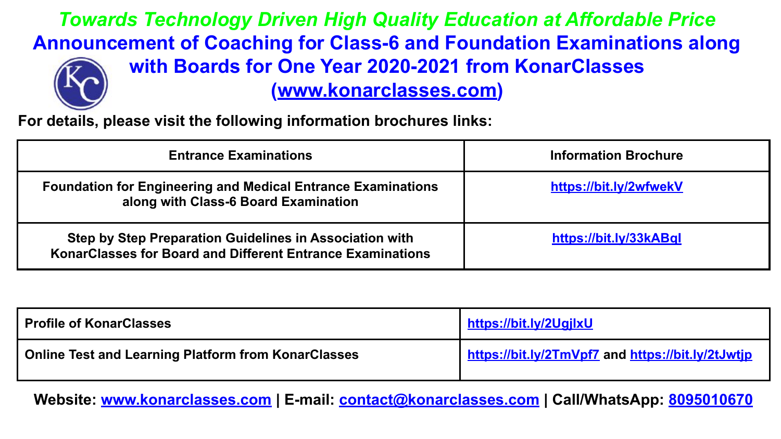*Towards Technology Driven High Quality Education at Affordable Price* **Announcement of Coaching for Class-6 and Foundation Examinations along with Boards for One Year 2020-2021 from KonarClasses** 

**([www.konarclasses.com](http://www.konarclasses.com))**

**For details, please visit the following information brochures links:**

| <b>Entrance Examinations</b>                                                                                          | <b>Information Brochure</b> |
|-----------------------------------------------------------------------------------------------------------------------|-----------------------------|
| <b>Foundation for Engineering and Medical Entrance Examinations</b><br>along with Class-6 Board Examination           | https://bit.ly/2wfwekV      |
| Step by Step Preparation Guidelines in Association with<br>KonarClasses for Board and Different Entrance Examinations | https://bit.ly/33kABql      |

| <b>Profile of KonarClasses</b>                             | https://bit.ly/2UgjlxU                            |
|------------------------------------------------------------|---------------------------------------------------|
| <b>Online Test and Learning Platform from KonarClasses</b> | https://bit.ly/2TmVpf7 and https://bit.ly/2tJwtjp |

**Website: [www.konarclasses.com](http://www.konarclasses.com) | E-mail: [contact@konarclasses.com](mailto:contact@konarclasses.com) | Call/WhatsApp: 8095010670**